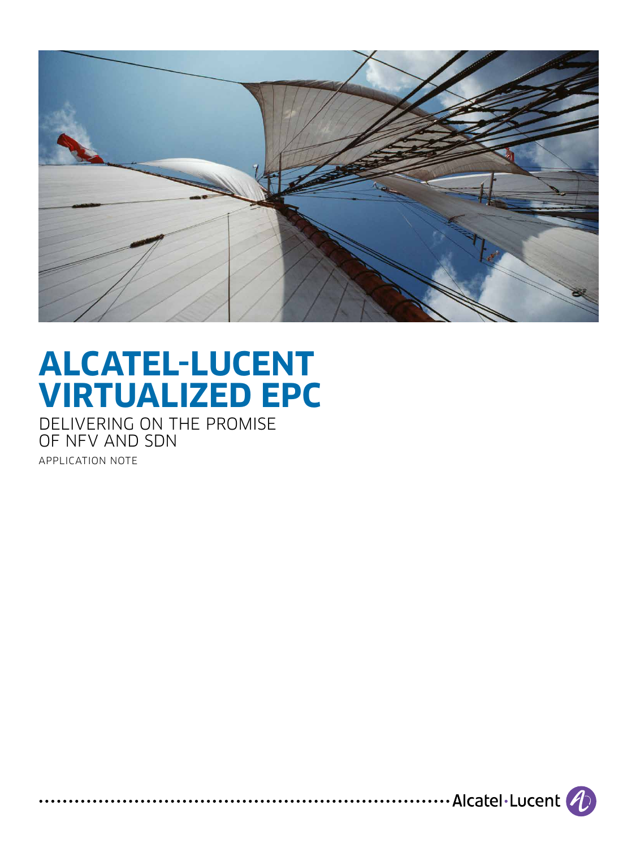

# **ALCATEL-LUCENT VIRTUALIZED EPC**

DELIVERING ON THE PROMISE OF NFV AND SDN APPLICATION NOTE

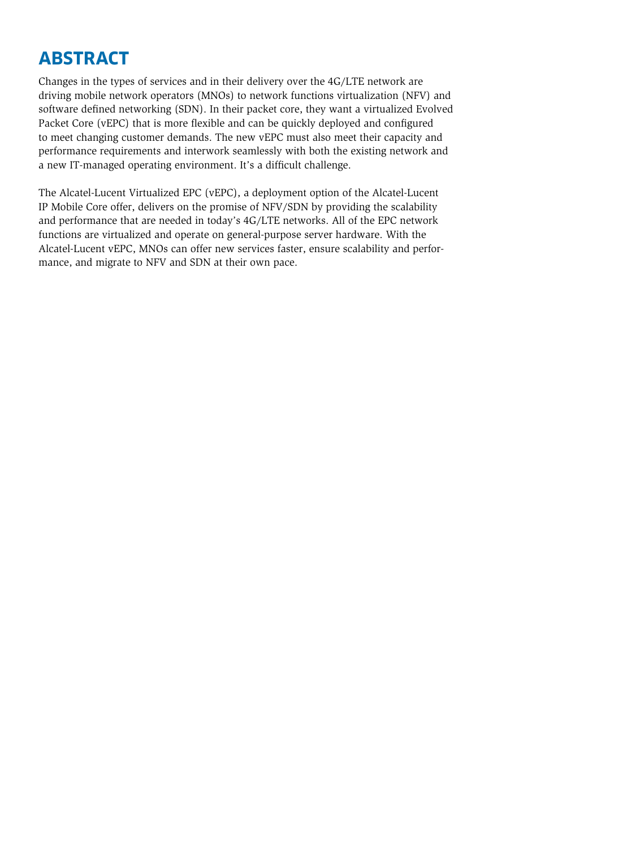# **ABSTRACT**

Changes in the types of services and in their delivery over the 4G/LTE network are driving mobile network operators (MNOs) to network functions virtualization (NFV) and software defined networking (SDN). In their packet core, they want a virtualized Evolved Packet Core (vEPC) that is more flexible and can be quickly deployed and configured to meet changing customer demands. The new vEPC must also meet their capacity and performance requirements and interwork seamlessly with both the existing network and a new IT-managed operating environment. It's a difficult challenge.

The Alcatel-Lucent Virtualized EPC (vEPC), a deployment option of the Alcatel-Lucent IP Mobile Core offer, delivers on the promise of NFV/SDN by providing the scalability and performance that are needed in today's 4G/LTE networks. All of the EPC network functions are virtualized and operate on general-purpose server hardware. With the Alcatel-Lucent vEPC, MNOs can offer new services faster, ensure scalability and performance, and migrate to NFV and SDN at their own pace.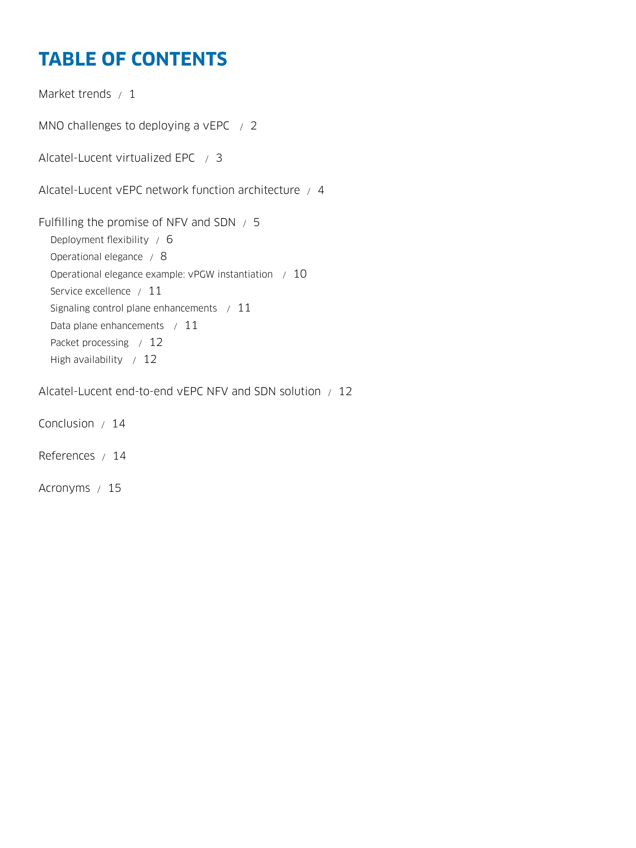# **TABLE OF CONTENTS**

[Market trends / 1](#page-3-0) [MNO challenges to deploying a vEPC / 2](#page-4-0) [Alcatel-Lucent virtualized EPC / 3](#page-5-0) [Alcatel-Lucent vEPC network function architecture / 4](#page-6-0) [Fulfilling the promise of NFV and SDN / 5](#page-7-0) [Deployment flexibility / 6](#page-8-0) [Operational elegance / 8](#page-10-0) [Operational elegance example: vPGW instantiation / 10](#page-12-0) [Service excellence / 11](#page-13-0) [Signaling control plane enhancements / 11](#page-13-0) [Data plane enhancements / 11](#page-13-0) [Packet processing / 12](#page-14-0) [High availability / 12](#page-14-0) [Alcatel-Lucent end-to-end vEPC NFV and SDN solution / 12](#page-14-0)

[Conclusion / 14](#page-16-0)

[References / 14](#page-16-0)

[Acronyms / 15](#page-17-0)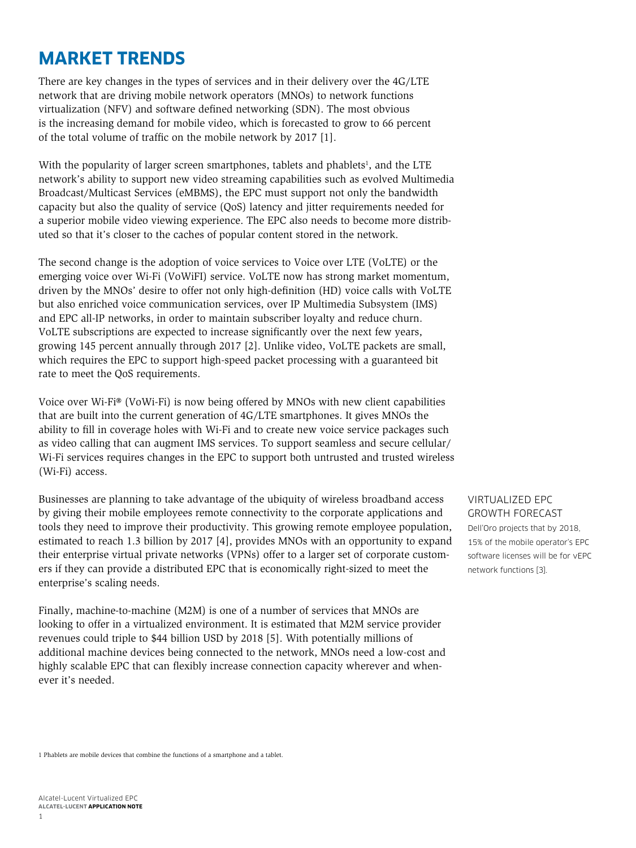# <span id="page-3-0"></span>**MARKET TRENDS**

There are key changes in the types of services and in their delivery over the 4G/LTE network that are driving mobile network operators (MNOs) to network functions virtualization (NFV) and software defined networking (SDN). The most obvious is the increasing demand for mobile video, which is forecasted to grow to 66 percent of the total volume of traffic on the mobile network by 2017 [1].

With the popularity of larger screen smartphones, tablets and phablets<sup>1</sup>, and the LTE network's ability to support new video streaming capabilities such as evolved Multimedia Broadcast/Multicast Services (eMBMS), the EPC must support not only the bandwidth capacity but also the quality of service (QoS) latency and jitter requirements needed for a superior mobile video viewing experience. The EPC also needs to become more distributed so that it's closer to the caches of popular content stored in the network.

The second change is the adoption of voice services to Voice over LTE (VoLTE) or the emerging voice over Wi-Fi (VoWiFI) service. VoLTE now has strong market momentum, driven by the MNOs' desire to offer not only high-definition (HD) voice calls with VoLTE but also enriched voice communication services, over IP Multimedia Subsystem (IMS) and EPC all-IP networks, in order to maintain subscriber loyalty and reduce churn. VoLTE subscriptions are expected to increase significantly over the next few years, growing 145 percent annually through 2017 [2]. Unlike video, VoLTE packets are small, which requires the EPC to support high-speed packet processing with a guaranteed bit rate to meet the QoS requirements.

Voice over Wi-Fi® (VoWi-Fi) is now being offered by MNOs with new client capabilities that are built into the current generation of 4G/LTE smartphones. It gives MNOs the ability to fill in coverage holes with Wi-Fi and to create new voice service packages such as video calling that can augment IMS services. To support seamless and secure cellular/ Wi-Fi services requires changes in the EPC to support both untrusted and trusted wireless (Wi-Fi) access.

Businesses are planning to take advantage of the ubiquity of wireless broadband access by giving their mobile employees remote connectivity to the corporate applications and tools they need to improve their productivity. This growing remote employee population, estimated to reach 1.3 billion by 2017 [4], provides MNOs with an opportunity to expand their enterprise virtual private networks (VPNs) offer to a larger set of corporate customers if they can provide a distributed EPC that is economically right-sized to meet the enterprise's scaling needs.

Finally, machine-to-machine (M2M) is one of a number of services that MNOs are looking to offer in a virtualized environment. It is estimated that M2M service provider revenues could triple to \$44 billion USD by 2018 [5]. With potentially millions of additional machine devices being connected to the network, MNOs need a low-cost and highly scalable EPC that can flexibly increase connection capacity wherever and whenever it's needed.

### VIRTUALIZED EPC GROWTH FORECAST

Dell'Oro projects that by 2018, 15% of the mobile operator's EPC software licenses will be for vEPC network functions [3].

1 Phablets are mobile devices that combine the functions of a smartphone and a tablet.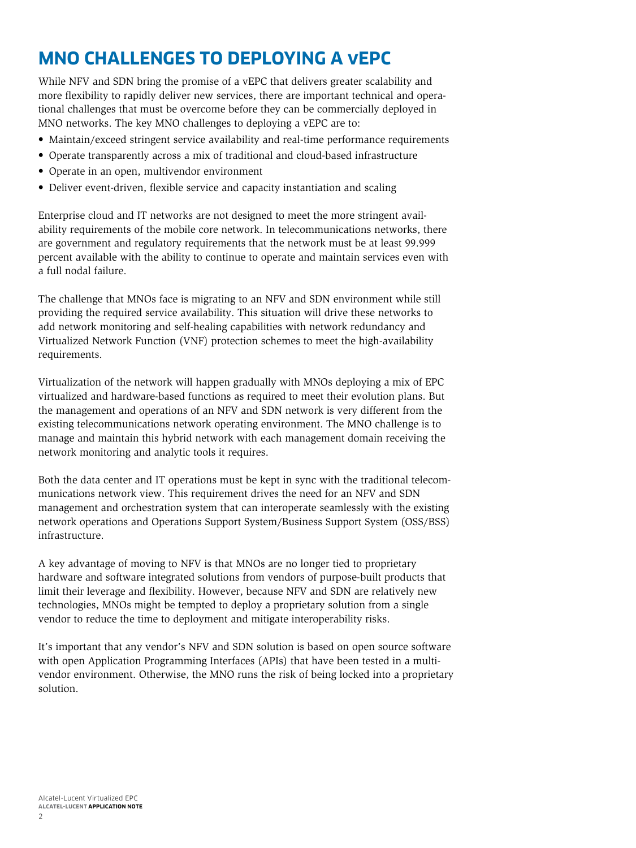# <span id="page-4-0"></span>**MNO CHALLENGES TO DEPLOYING A vEPC**

While NFV and SDN bring the promise of a vEPC that delivers greater scalability and more flexibility to rapidly deliver new services, there are important technical and operational challenges that must be overcome before they can be commercially deployed in MNO networks. The key MNO challenges to deploying a vEPC are to:

- Maintain/exceed stringent service availability and real-time performance requirements
- Operate transparently across a mix of traditional and cloud-based infrastructure
- Operate in an open, multivendor environment
- Deliver event-driven, flexible service and capacity instantiation and scaling

Enterprise cloud and IT networks are not designed to meet the more stringent availability requirements of the mobile core network. In telecommunications networks, there are government and regulatory requirements that the network must be at least 99.999 percent available with the ability to continue to operate and maintain services even with a full nodal failure.

The challenge that MNOs face is migrating to an NFV and SDN environment while still providing the required service availability. This situation will drive these networks to add network monitoring and self-healing capabilities with network redundancy and Virtualized Network Function (VNF) protection schemes to meet the high-availability requirements.

Virtualization of the network will happen gradually with MNOs deploying a mix of EPC virtualized and hardware-based functions as required to meet their evolution plans. But the management and operations of an NFV and SDN network is very different from the existing telecommunications network operating environment. The MNO challenge is to manage and maintain this hybrid network with each management domain receiving the network monitoring and analytic tools it requires.

Both the data center and IT operations must be kept in sync with the traditional telecommunications network view. This requirement drives the need for an NFV and SDN management and orchestration system that can interoperate seamlessly with the existing network operations and Operations Support System/Business Support System (OSS/BSS) infrastructure.

A key advantage of moving to NFV is that MNOs are no longer tied to proprietary hardware and software integrated solutions from vendors of purpose-built products that limit their leverage and flexibility. However, because NFV and SDN are relatively new technologies, MNOs might be tempted to deploy a proprietary solution from a single vendor to reduce the time to deployment and mitigate interoperability risks.

It's important that any vendor's NFV and SDN solution is based on open source software with open Application Programming Interfaces (APIs) that have been tested in a multivendor environment. Otherwise, the MNO runs the risk of being locked into a proprietary solution.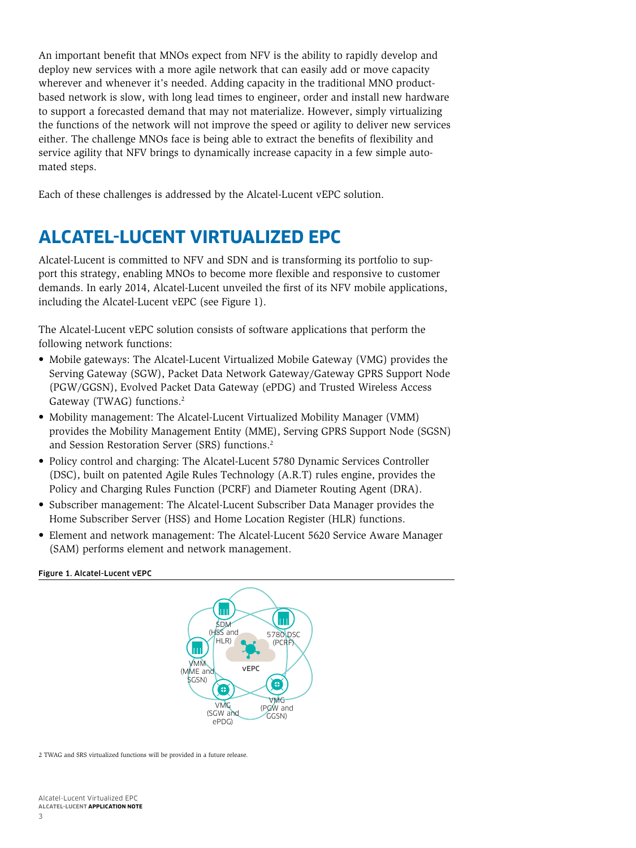<span id="page-5-0"></span>An important benefit that MNOs expect from NFV is the ability to rapidly develop and deploy new services with a more agile network that can easily add or move capacity wherever and whenever it's needed. Adding capacity in the traditional MNO productbased network is slow, with long lead times to engineer, order and install new hardware to support a forecasted demand that may not materialize. However, simply virtualizing the functions of the network will not improve the speed or agility to deliver new services either. The challenge MNOs face is being able to extract the benefits of flexibility and service agility that NFV brings to dynamically increase capacity in a few simple automated steps.

Each of these challenges is addressed by the Alcatel-Lucent vEPC solution.

# **ALCATEL-LUCENT VIRTUALIZED EPC**

Alcatel-Lucent is committed to NFV and SDN and is transforming its portfolio to support this strategy, enabling MNOs to become more flexible and responsive to customer demands. In early 2014, Alcatel-Lucent unveiled the first of its NFV mobile applications, including the Alcatel-Lucent vEPC (see Figure 1).

The Alcatel-Lucent vEPC solution consists of software applications that perform the following network functions:

- Mobile gateways: The Alcatel-Lucent Virtualized Mobile Gateway (VMG) provides the Serving Gateway (SGW), Packet Data Network Gateway/Gateway GPRS Support Node (PGW/GGSN), Evolved Packet Data Gateway (ePDG) and Trusted Wireless Access Gateway (TWAG) functions.2
- Mobility management: The Alcatel-Lucent Virtualized Mobility Manager (VMM) provides the Mobility Management Entity (MME), Serving GPRS Support Node (SGSN) and Session Restoration Server (SRS) functions.2
- Policy control and charging: The Alcatel-Lucent 5780 Dynamic Services Controller (DSC), built on patented Agile Rules Technology (A.R.T) rules engine, provides the Policy and Charging Rules Function (PCRF) and Diameter Routing Agent (DRA).
- Subscriber management: The Alcatel-Lucent Subscriber Data Manager provides the Home Subscriber Server (HSS) and Home Location Register (HLR) functions.
- Element and network management: The Alcatel-Lucent 5620 Service Aware Manager (SAM) performs element and network management.

#### Figure 1. Alcatel-Lucent vEPC



2 TWAG and SRS virtualized functions will be provided in a future release.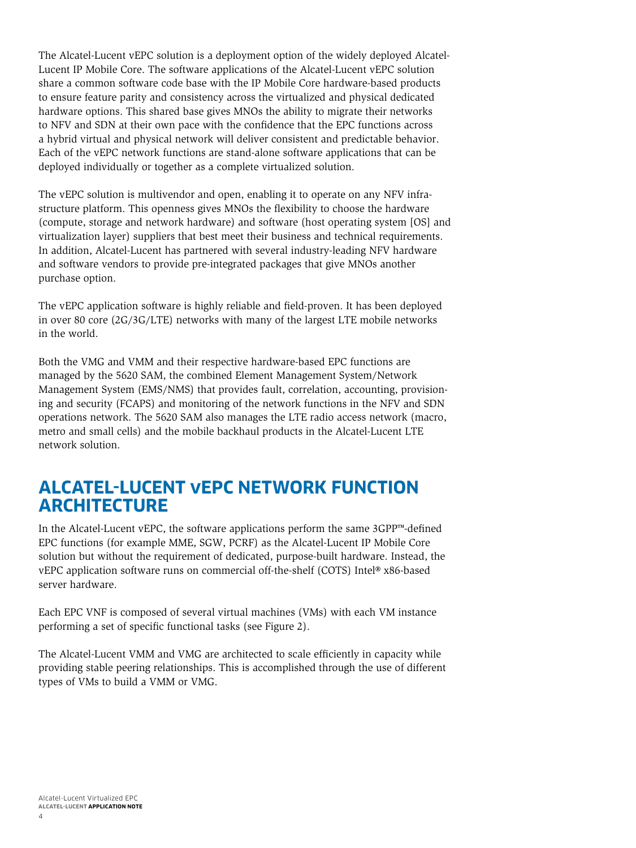<span id="page-6-0"></span>The Alcatel-Lucent vEPC solution is a deployment option of the widely deployed Alcatel-Lucent IP Mobile Core. The software applications of the Alcatel-Lucent vEPC solution share a common software code base with the IP Mobile Core hardware-based products to ensure feature parity and consistency across the virtualized and physical dedicated hardware options. This shared base gives MNOs the ability to migrate their networks to NFV and SDN at their own pace with the confidence that the EPC functions across a hybrid virtual and physical network will deliver consistent and predictable behavior. Each of the vEPC network functions are stand-alone software applications that can be deployed individually or together as a complete virtualized solution.

The vEPC solution is multivendor and open, enabling it to operate on any NFV infrastructure platform. This openness gives MNOs the flexibility to choose the hardware (compute, storage and network hardware) and software (host operating system [OS] and virtualization layer) suppliers that best meet their business and technical requirements. In addition, Alcatel-Lucent has partnered with several industry-leading NFV hardware and software vendors to provide pre-integrated packages that give MNOs another purchase option.

The vEPC application software is highly reliable and field-proven. It has been deployed in over 80 core (2G/3G/LTE) networks with many of the largest LTE mobile networks in the world.

Both the VMG and VMM and their respective hardware-based EPC functions are managed by the 5620 SAM, the combined Element Management System/Network Management System (EMS/NMS) that provides fault, correlation, accounting, provisioning and security (FCAPS) and monitoring of the network functions in the NFV and SDN operations network. The 5620 SAM also manages the LTE radio access network (macro, metro and small cells) and the mobile backhaul products in the Alcatel-Lucent LTE network solution.

## **ALCATEL-LUCENT vEPC NETWORK FUNCTION ARCHITECTURE**

In the Alcatel-Lucent vEPC, the software applications perform the same 3GPP™-defined EPC functions (for example MME, SGW, PCRF) as the Alcatel-Lucent IP Mobile Core solution but without the requirement of dedicated, purpose-built hardware. Instead, the vEPC application software runs on commercial off-the-shelf (COTS) Intel® x86-based server hardware.

Each EPC VNF is composed of several virtual machines (VMs) with each VM instance performing a set of specific functional tasks (see Figure 2).

The Alcatel-Lucent VMM and VMG are architected to scale efficiently in capacity while providing stable peering relationships. This is accomplished through the use of different types of VMs to build a VMM or VMG.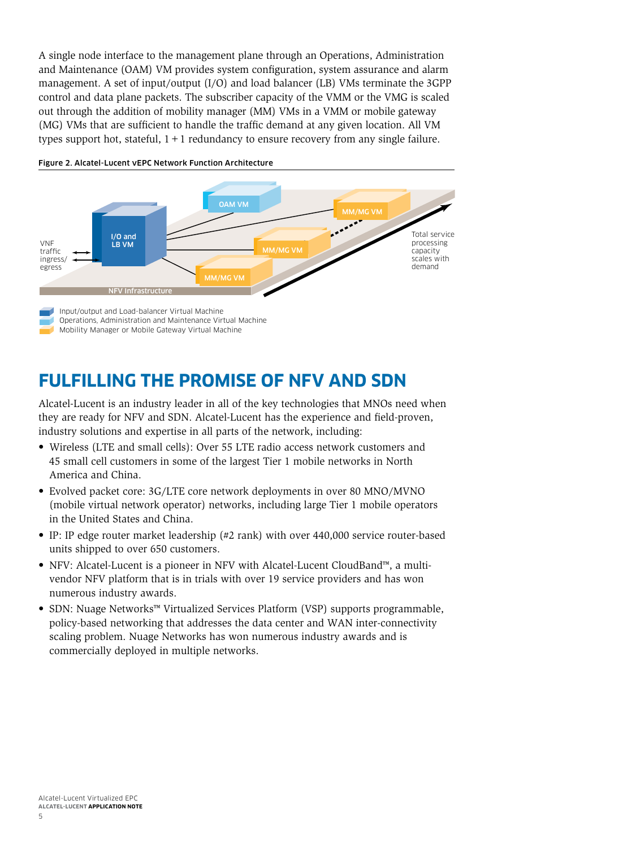<span id="page-7-0"></span>A single node interface to the management plane through an Operations, Administration and Maintenance (OAM) VM provides system configuration, system assurance and alarm management. A set of input/output (I/O) and load balancer (LB) VMs terminate the 3GPP control and data plane packets. The subscriber capacity of the VMM or the VMG is scaled out through the addition of mobility manager (MM) VMs in a VMM or mobile gateway (MG) VMs that are sufficient to handle the traffic demand at any given location. All VM types support hot, stateful,  $1+1$  redundancy to ensure recovery from any single failure.



#### Figure 2. Alcatel-Lucent vEPC Network Function Architecture

# **FULFILLING THE PROMISE OF NFV AND SDN**

Alcatel-Lucent is an industry leader in all of the key technologies that MNOs need when they are ready for NFV and SDN. Alcatel-Lucent has the experience and field-proven, industry solutions and expertise in all parts of the network, including:

- Wireless (LTE and small cells): Over 55 LTE radio access network customers and 45 small cell customers in some of the largest Tier 1 mobile networks in North America and China.
- Evolved packet core: 3G/LTE core network deployments in over 80 MNO/MVNO (mobile virtual network operator) networks, including large Tier 1 mobile operators in the United States and China.
- IP: IP edge router market leadership (#2 rank) with over 440,000 service router-based units shipped to over 650 customers.
- NFV: Alcatel-Lucent is a pioneer in NFV with Alcatel-Lucent CloudBand™, a multivendor NFV platform that is in trials with over 19 service providers and has won numerous industry awards.
- SDN: Nuage Networks™ Virtualized Services Platform (VSP) supports programmable, policy-based networking that addresses the data center and WAN inter-connectivity scaling problem. Nuage Networks has won numerous industry awards and is commercially deployed in multiple networks.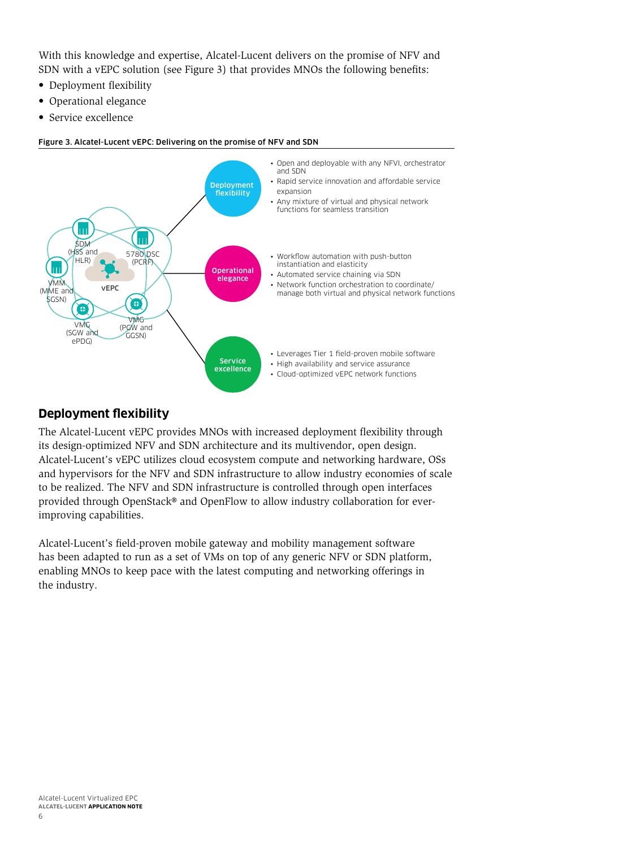<span id="page-8-0"></span>With this knowledge and expertise, Alcatel-Lucent delivers on the promise of NFV and SDN with a vEPC solution (see Figure 3) that provides MNOs the following benefits:

- Deployment flexibility
- Operational elegance
- Service excellence

#### Figure 3. Alcatel-Lucent vEPC: Delivering on the promise of NFV and SDN



### **Deployment flexibility**

The Alcatel-Lucent vEPC provides MNOs with increased deployment flexibility through its design-optimized NFV and SDN architecture and its multivendor, open design. Alcatel-Lucent's vEPC utilizes cloud ecosystem compute and networking hardware, OSs and hypervisors for the NFV and SDN infrastructure to allow industry economies of scale to be realized. The NFV and SDN infrastructure is controlled through open interfaces provided through OpenStack® and OpenFlow to allow industry collaboration for everimproving capabilities.

Alcatel-Lucent's field-proven mobile gateway and mobility management software has been adapted to run as a set of VMs on top of any generic NFV or SDN platform, enabling MNOs to keep pace with the latest computing and networking offerings in the industry.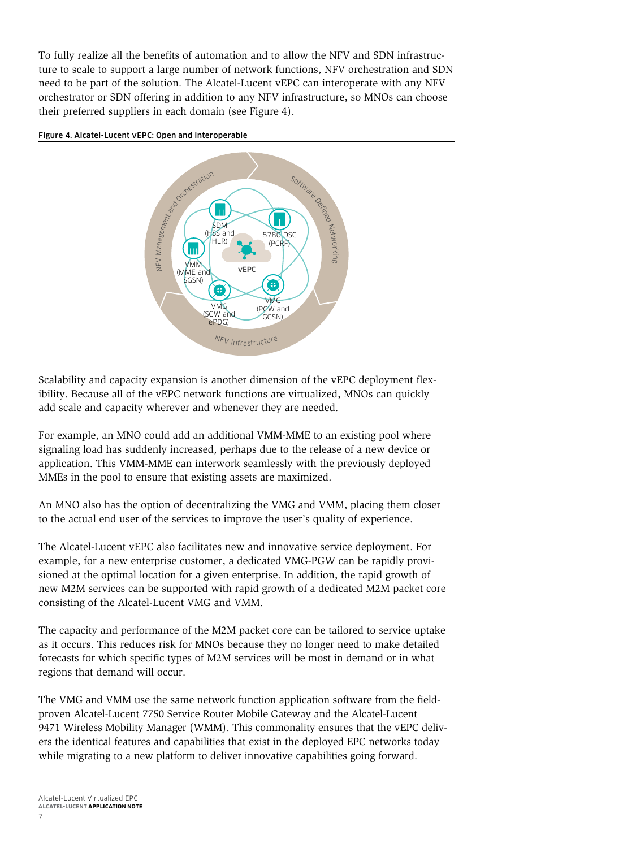To fully realize all the benefits of automation and to allow the NFV and SDN infrastructure to scale to support a large number of network functions, NFV orchestration and SDN need to be part of the solution. The Alcatel-Lucent vEPC can interoperate with any NFV orchestrator or SDN offering in addition to any NFV infrastructure, so MNOs can choose their preferred suppliers in each domain (see Figure 4).





Scalability and capacity expansion is another dimension of the vEPC deployment flexibility. Because all of the vEPC network functions are virtualized, MNOs can quickly add scale and capacity wherever and whenever they are needed.

For example, an MNO could add an additional VMM-MME to an existing pool where signaling load has suddenly increased, perhaps due to the release of a new device or application. This VMM-MME can interwork seamlessly with the previously deployed MMEs in the pool to ensure that existing assets are maximized.

An MNO also has the option of decentralizing the VMG and VMM, placing them closer to the actual end user of the services to improve the user's quality of experience.

The Alcatel-Lucent vEPC also facilitates new and innovative service deployment. For example, for a new enterprise customer, a dedicated VMG-PGW can be rapidly provisioned at the optimal location for a given enterprise. In addition, the rapid growth of new M2M services can be supported with rapid growth of a dedicated M2M packet core consisting of the Alcatel-Lucent VMG and VMM.

The capacity and performance of the M2M packet core can be tailored to service uptake as it occurs. This reduces risk for MNOs because they no longer need to make detailed forecasts for which specific types of M2M services will be most in demand or in what regions that demand will occur.

The VMG and VMM use the same network function application software from the fieldproven Alcatel-Lucent 7750 Service Router Mobile Gateway and the Alcatel-Lucent 9471 Wireless Mobility Manager (WMM). This commonality ensures that the vEPC delivers the identical features and capabilities that exist in the deployed EPC networks today while migrating to a new platform to deliver innovative capabilities going forward.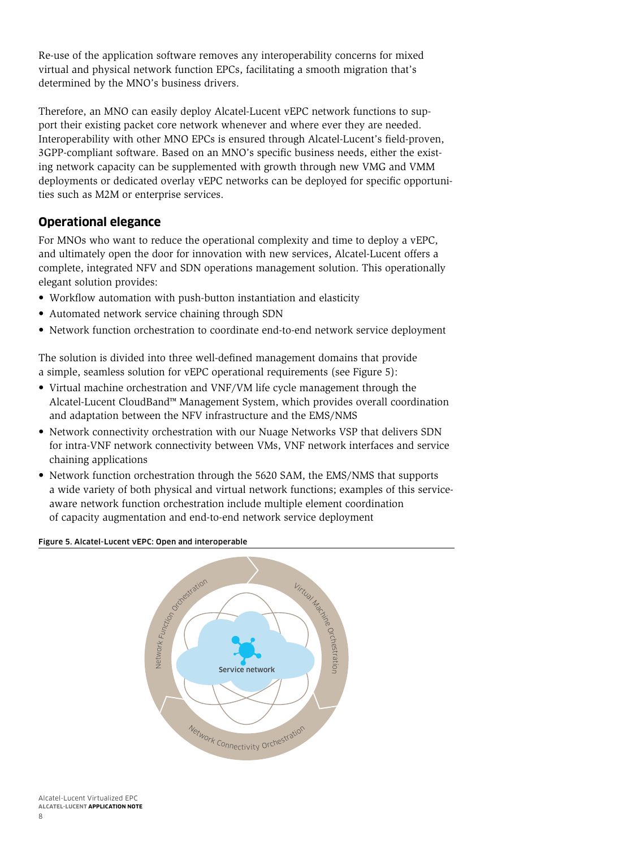<span id="page-10-0"></span>Re-use of the application software removes any interoperability concerns for mixed virtual and physical network function EPCs, facilitating a smooth migration that's determined by the MNO's business drivers.

Therefore, an MNO can easily deploy Alcatel-Lucent vEPC network functions to support their existing packet core network whenever and where ever they are needed. Interoperability with other MNO EPCs is ensured through Alcatel-Lucent's field-proven, 3GPP-compliant software. Based on an MNO's specific business needs, either the existing network capacity can be supplemented with growth through new VMG and VMM deployments or dedicated overlay vEPC networks can be deployed for specific opportunities such as M2M or enterprise services.

### **Operational elegance**

For MNOs who want to reduce the operational complexity and time to deploy a vEPC, and ultimately open the door for innovation with new services, Alcatel-Lucent offers a complete, integrated NFV and SDN operations management solution. This operationally elegant solution provides:

- Workflow automation with push-button instantiation and elasticity
- Automated network service chaining through SDN
- Network function orchestration to coordinate end-to-end network service deployment

The solution is divided into three well-defined management domains that provide a simple, seamless solution for vEPC operational requirements (see Figure 5):

- Virtual machine orchestration and VNF/VM life cycle management through the Alcatel-Lucent CloudBand™ Management System, which provides overall coordination and adaptation between the NFV infrastructure and the EMS/NMS
- Network connectivity orchestration with our Nuage Networks VSP that delivers SDN for intra-VNF network connectivity between VMs, VNF network interfaces and service chaining applications
- Network function orchestration through the 5620 SAM, the EMS/NMS that supports a wide variety of both physical and virtual network functions; examples of this serviceaware network function orchestration include multiple element coordination of capacity augmentation and end-to-end network service deployment

#### Figure 5. Alcatel-Lucent vEPC: Open and interoperable



Alcatel-Lucent Virtualized EPC **ALCATEL-LUCENT APPLICATION NOTE**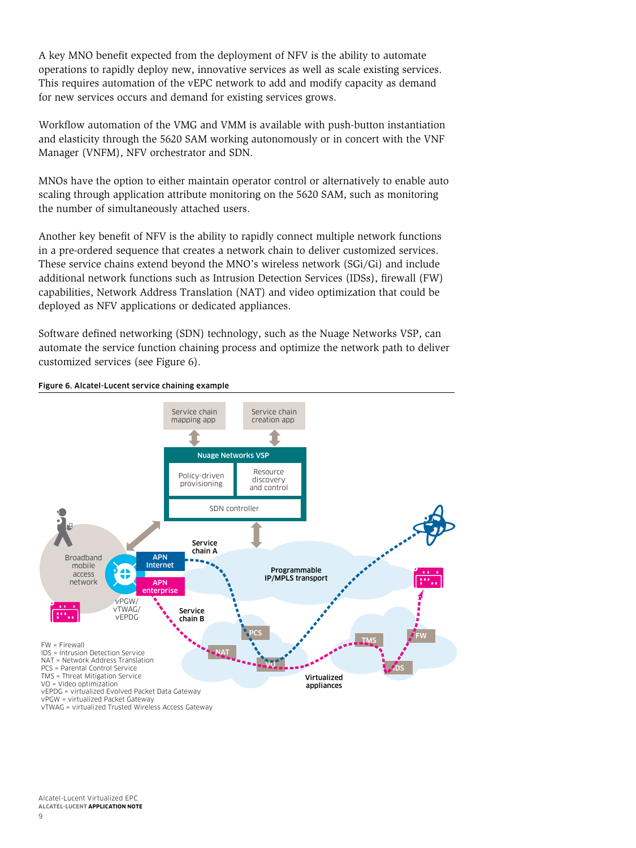A key MNO benefit expected from the deployment of NFV is the ability to automate operations to rapidly deploy new, innovative services as well as scale existing services. This requires automation of the vEPC network to add and modify capacity as demand for new services occurs and demand for existing services grows.

Workflow automation of the VMG and VMM is available with push-button instantiation and elasticity through the 5620 SAM working autonomously or in concert with the VNF Manager (VNFM), NFV orchestrator and SDN.

MNOs have the option to either maintain operator control or alternatively to enable auto scaling through application attribute monitoring on the 5620 SAM, such as monitoring the number of simultaneously attached users.

Another key benefit of NFV is the ability to rapidly connect multiple network functions in a pre-ordered sequence that creates a network chain to deliver customized services. These service chains extend beyond the MNO's wireless network (SGi/Gi) and include additional network functions such as Intrusion Detection Services (IDSs), firewall (FW) capabilities, Network Address Translation (NAT) and video optimization that could be deployed as NFV applications or dedicated appliances.

Software defined networking (SDN) technology, such as the Nuage Networks VSP, can automate the service function chaining process and optimize the network path to deliver customized services (see Figure 6).



Figure 6. Alcatel-Lucent service chaining example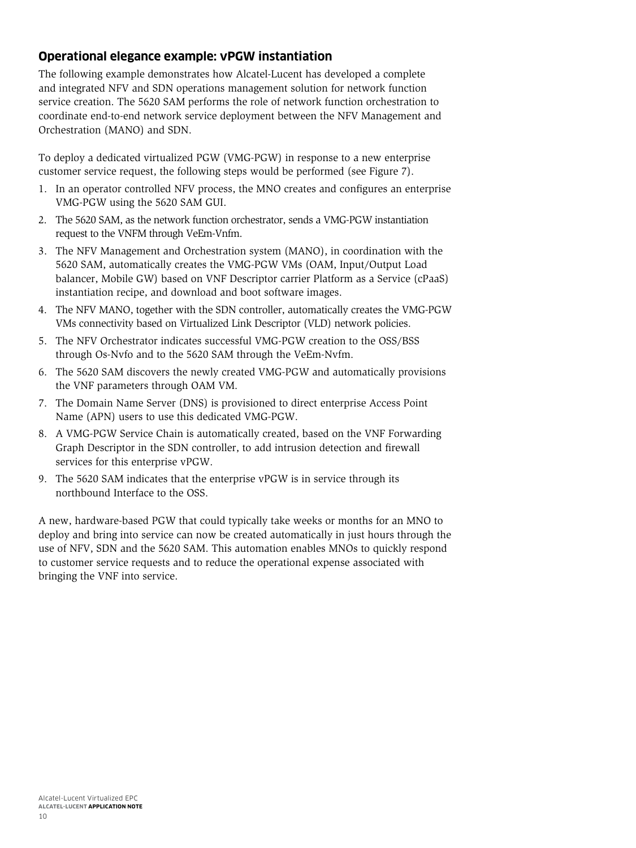### <span id="page-12-0"></span>**Operational elegance example: vPGW instantiation**

The following example demonstrates how Alcatel-Lucent has developed a complete and integrated NFV and SDN operations management solution for network function service creation. The 5620 SAM performs the role of network function orchestration to coordinate end-to-end network service deployment between the NFV Management and Orchestration (MANO) and SDN.

To deploy a dedicated virtualized PGW (VMG-PGW) in response to a new enterprise customer service request, the following steps would be performed (see Figure 7).

- 1. In an operator controlled NFV process, the MNO creates and configures an enterprise VMG-PGW using the 5620 SAM GUI.
- 2. The 5620 SAM, as the network function orchestrator, sends a VMG-PGW instantiation request to the VNFM through VeEm-Vnfm.
- 3. The NFV Management and Orchestration system (MANO), in coordination with the 5620 SAM, automatically creates the VMG-PGW VMs (OAM, Input/Output Load balancer, Mobile GW) based on VNF Descriptor carrier Platform as a Service (cPaaS) instantiation recipe, and download and boot software images.
- 4. The NFV MANO, together with the SDN controller, automatically creates the VMG-PGW VMs connectivity based on Virtualized Link Descriptor (VLD) network policies.
- 5. The NFV Orchestrator indicates successful VMG-PGW creation to the OSS/BSS through Os-Nvfo and to the 5620 SAM through the VeEm-Nvfm.
- 6. The 5620 SAM discovers the newly created VMG-PGW and automatically provisions the VNF parameters through OAM VM.
- 7. The Domain Name Server (DNS) is provisioned to direct enterprise Access Point Name (APN) users to use this dedicated VMG-PGW.
- 8. A VMG-PGW Service Chain is automatically created, based on the VNF Forwarding Graph Descriptor in the SDN controller, to add intrusion detection and firewall services for this enterprise vPGW.
- 9. The 5620 SAM indicates that the enterprise vPGW is in service through its northbound Interface to the OSS.

A new, hardware-based PGW that could typically take weeks or months for an MNO to deploy and bring into service can now be created automatically in just hours through the use of NFV, SDN and the 5620 SAM. This automation enables MNOs to quickly respond to customer service requests and to reduce the operational expense associated with bringing the VNF into service.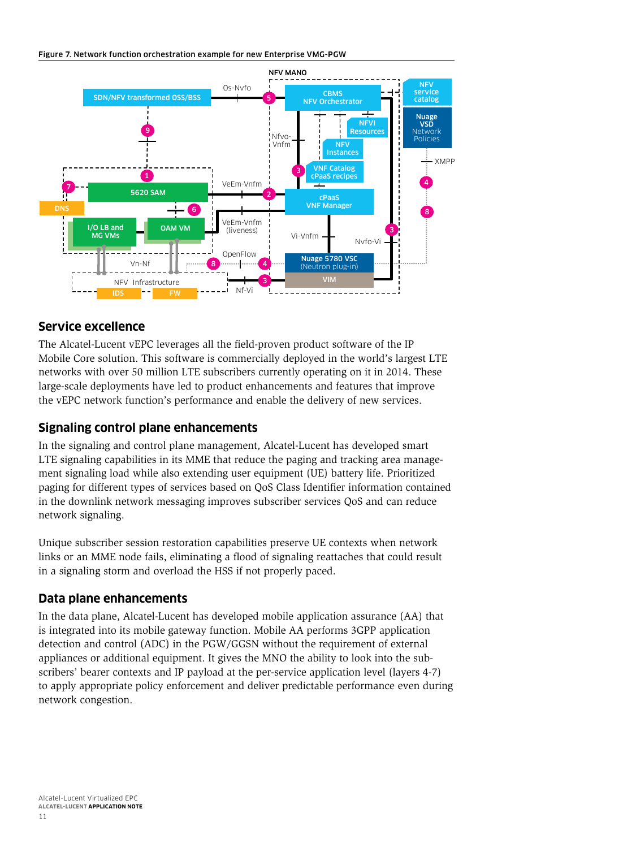#### <span id="page-13-0"></span>Figure 7. Network function orchestration example for new Enterprise VMG-PGW



### **Service excellence**

The Alcatel-Lucent vEPC leverages all the field-proven product software of the IP Mobile Core solution. This software is commercially deployed in the world's largest LTE networks with over 50 million LTE subscribers currently operating on it in 2014. These large-scale deployments have led to product enhancements and features that improve the vEPC network function's performance and enable the delivery of new services.

### **Signaling control plane enhancements**

In the signaling and control plane management, Alcatel-Lucent has developed smart LTE signaling capabilities in its MME that reduce the paging and tracking area management signaling load while also extending user equipment (UE) battery life. Prioritized paging for different types of services based on QoS Class Identifier information contained in the downlink network messaging improves subscriber services QoS and can reduce network signaling.

Unique subscriber session restoration capabilities preserve UE contexts when network links or an MME node fails, eliminating a flood of signaling reattaches that could result in a signaling storm and overload the HSS if not properly paced.

### **Data plane enhancements**

In the data plane, Alcatel-Lucent has developed mobile application assurance (AA) that is integrated into its mobile gateway function. Mobile AA performs 3GPP application detection and control (ADC) in the PGW/GGSN without the requirement of external appliances or additional equipment. It gives the MNO the ability to look into the subscribers' bearer contexts and IP payload at the per-service application level (layers 4-7) to apply appropriate policy enforcement and deliver predictable performance even during network congestion.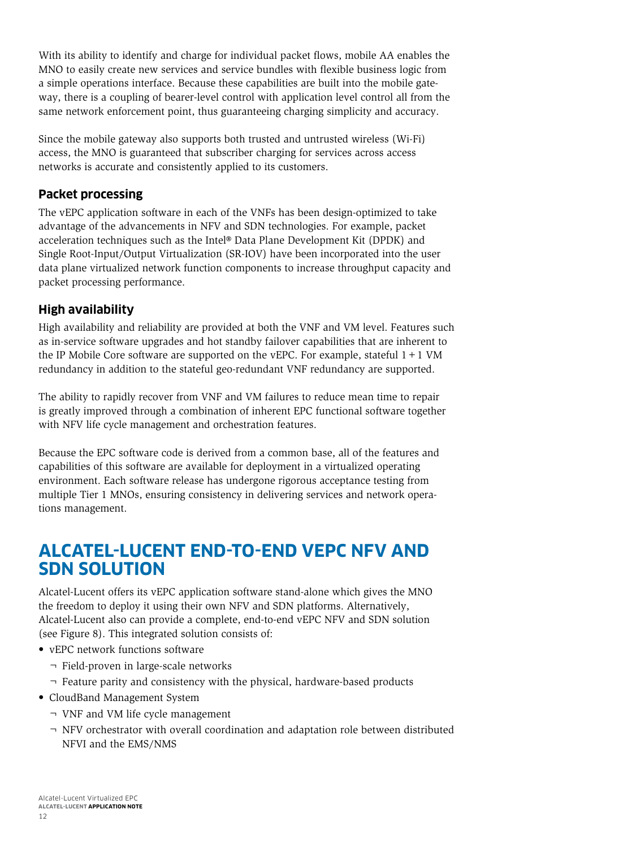<span id="page-14-0"></span>With its ability to identify and charge for individual packet flows, mobile AA enables the MNO to easily create new services and service bundles with flexible business logic from a simple operations interface. Because these capabilities are built into the mobile gateway, there is a coupling of bearer-level control with application level control all from the same network enforcement point, thus guaranteeing charging simplicity and accuracy.

Since the mobile gateway also supports both trusted and untrusted wireless (Wi-Fi) access, the MNO is guaranteed that subscriber charging for services across access networks is accurate and consistently applied to its customers.

### **Packet processing**

The vEPC application software in each of the VNFs has been design-optimized to take advantage of the advancements in NFV and SDN technologies. For example, packet acceleration techniques such as the Intel® Data Plane Development Kit (DPDK) and Single Root-Input/Output Virtualization (SR-IOV) have been incorporated into the user data plane virtualized network function components to increase throughput capacity and packet processing performance.

### **High availability**

High availability and reliability are provided at both the VNF and VM level. Features such as in-service software upgrades and hot standby failover capabilities that are inherent to the IP Mobile Core software are supported on the vEPC. For example, stateful  $1+1$  VM redundancy in addition to the stateful geo-redundant VNF redundancy are supported.

The ability to rapidly recover from VNF and VM failures to reduce mean time to repair is greatly improved through a combination of inherent EPC functional software together with NFV life cycle management and orchestration features.

Because the EPC software code is derived from a common base, all of the features and capabilities of this software are available for deployment in a virtualized operating environment. Each software release has undergone rigorous acceptance testing from multiple Tier 1 MNOs, ensuring consistency in delivering services and network operations management.

### **ALCATEL-LUCENT END-TO-END VEPC NFV AND SDN SOLUTION**

Alcatel-Lucent offers its vEPC application software stand-alone which gives the MNO the freedom to deploy it using their own NFV and SDN platforms. Alternatively, Alcatel-Lucent also can provide a complete, end-to-end vEPC NFV and SDN solution (see Figure 8). This integrated solution consists of:

- vEPC network functions software
	- ¬ Field-proven in large-scale networks
	- ¬ Feature parity and consistency with the physical, hardware-based products
- CloudBand Management System
	- ¬ VNF and VM life cycle management
	- $\neg$  NFV orchestrator with overall coordination and adaptation role between distributed NFVI and the EMS/NMS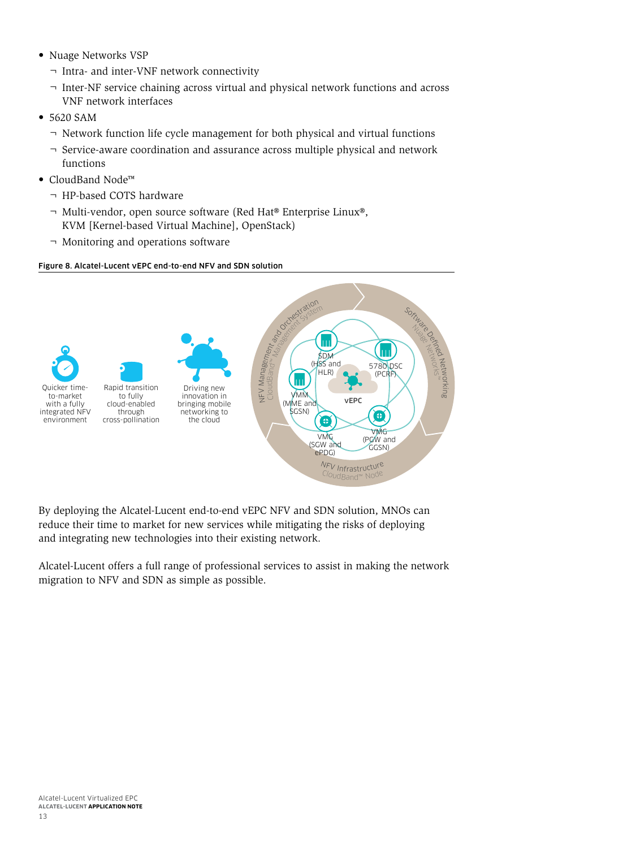- Nuage Networks VSP
	- ¬ Intra- and inter-VNF network connectivity
	- ¬ Inter-NF service chaining across virtual and physical network functions and across VNF network interfaces
- 5620 SAM
	- ¬ Network function life cycle management for both physical and virtual functions
	- ¬ Service-aware coordination and assurance across multiple physical and network functions
- CloudBand Node™
	- ¬ HP-based COTS hardware
	- ¬ Multi-vendor, open source software (Red Hat® Enterprise Linux®, KVM [Kernel-based Virtual Machine], OpenStack)
	- ¬ Monitoring and operations software

#### Figure 8. Alcatel-Lucent vEPC end-to-end NFV and SDN solution



By deploying the Alcatel-Lucent end-to-end vEPC NFV and SDN solution, MNOs can reduce their time to market for new services while mitigating the risks of deploying and integrating new technologies into their existing network.

Alcatel-Lucent offers a full range of professional services to assist in making the network migration to NFV and SDN as simple as possible.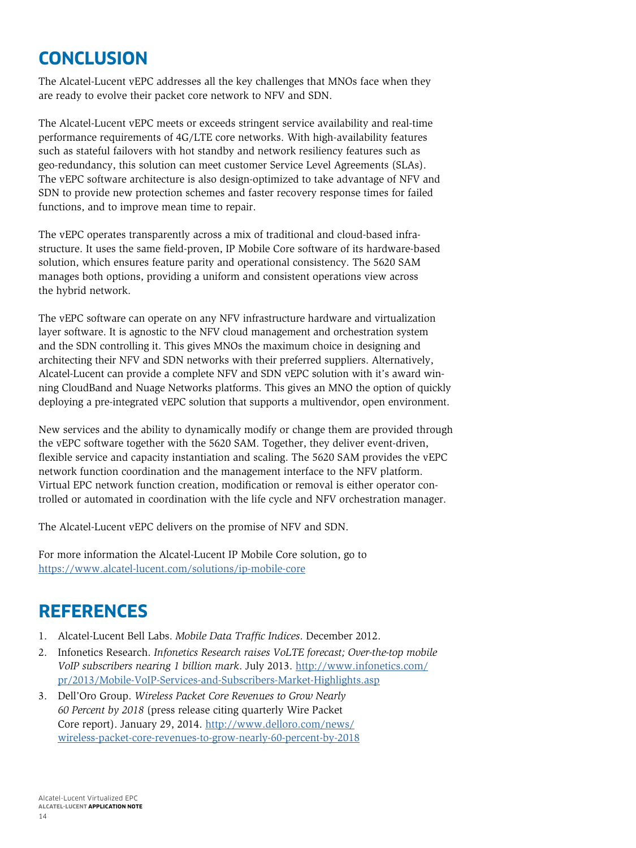# <span id="page-16-0"></span>**CONCLUSION**

The Alcatel-Lucent vEPC addresses all the key challenges that MNOs face when they are ready to evolve their packet core network to NFV and SDN.

The Alcatel-Lucent vEPC meets or exceeds stringent service availability and real-time performance requirements of 4G/LTE core networks. With high-availability features such as stateful failovers with hot standby and network resiliency features such as geo-redundancy, this solution can meet customer Service Level Agreements (SLAs). The vEPC software architecture is also design-optimized to take advantage of NFV and SDN to provide new protection schemes and faster recovery response times for failed functions, and to improve mean time to repair.

The vEPC operates transparently across a mix of traditional and cloud-based infrastructure. It uses the same field-proven, IP Mobile Core software of its hardware-based solution, which ensures feature parity and operational consistency. The 5620 SAM manages both options, providing a uniform and consistent operations view across the hybrid network.

The vEPC software can operate on any NFV infrastructure hardware and virtualization layer software. It is agnostic to the NFV cloud management and orchestration system and the SDN controlling it. This gives MNOs the maximum choice in designing and architecting their NFV and SDN networks with their preferred suppliers. Alternatively, Alcatel-Lucent can provide a complete NFV and SDN vEPC solution with it's award winning CloudBand and Nuage Networks platforms. This gives an MNO the option of quickly deploying a pre-integrated vEPC solution that supports a multivendor, open environment.

New services and the ability to dynamically modify or change them are provided through the vEPC software together with the 5620 SAM. Together, they deliver event-driven, flexible service and capacity instantiation and scaling. The 5620 SAM provides the vEPC network function coordination and the management interface to the NFV platform. Virtual EPC network function creation, modification or removal is either operator controlled or automated in coordination with the life cycle and NFV orchestration manager.

The Alcatel-Lucent vEPC delivers on the promise of NFV and SDN.

For more information the Alcatel-Lucent IP Mobile Core solution, go to <https://www.alcatel-lucent.com/solutions/ip-mobile-core>

## **REFERENCES**

- 1. Alcatel-Lucent Bell Labs. *Mobile Data Traffic Indices*. December 2012.
- 2. Infonetics Research. *Infonetics Research raises VoLTE forecast; Over-the-top mobile VoIP subscribers nearing 1 billion mark*. July 2013. [http://www.infonetics.com/](http://www.infonetics.com/pr/2013/Mobile-VoIP-Services-and-Subscribers-Market-Highlights.asp) [pr/2013/Mobile-VoIP-Services-and-Subscribers-Market-Highlights.asp](http://www.infonetics.com/pr/2013/Mobile-VoIP-Services-and-Subscribers-Market-Highlights.asp)
- 3. Dell'Oro Group. *Wireless Packet Core Revenues to Grow Nearly 60 Percent by 2018* (press release citing quarterly Wire Packet Core report). January 29, 2014. [http://www.delloro.com/news/](http://www.delloro.com/news/wireless-packet-core-revenues-to-grow-nearly-60-percent-by-2018) [wireless-packet-core-revenues-to-grow-nearly-60-percent-by-2018](http://www.delloro.com/news/wireless-packet-core-revenues-to-grow-nearly-60-percent-by-2018)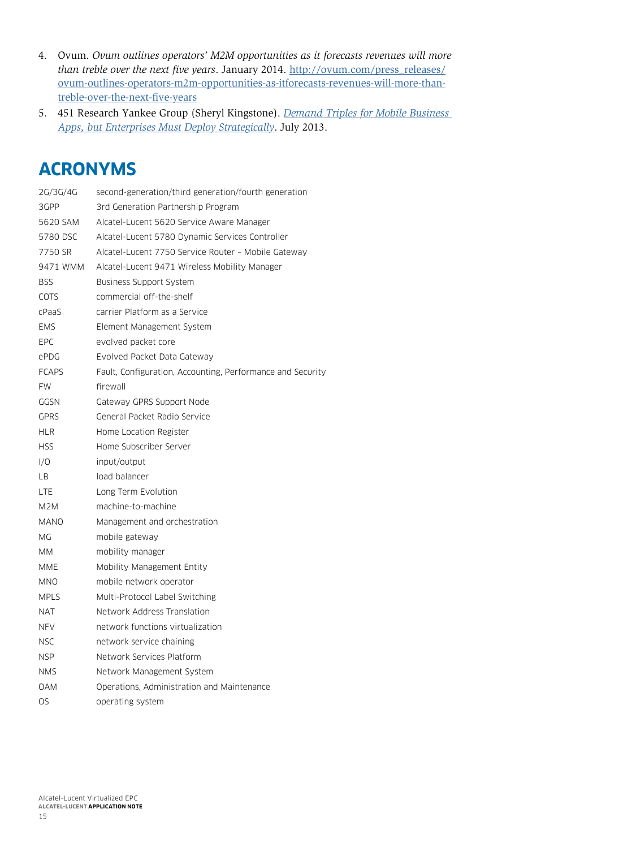- <span id="page-17-0"></span>4. Ovum. *Ovum outlines operators' M2M opportunities as it forecasts revenues will more than treble over the next five years*. January 2014. [http://ovum.com/press\\_releases/](http://ovum.com/press_releases/ovum-outlines-operators-m2m-opportunities-as-itforecasts-revenues-will-more-than-treble-over-the-next-five-years) [ovum-outlines-operators-m2m-opportunities-as-itforecasts-revenues-will-more-than](http://ovum.com/press_releases/ovum-outlines-operators-m2m-opportunities-as-itforecasts-revenues-will-more-than-treble-over-the-next-five-years)[treble-over-the-next-five-years](http://ovum.com/press_releases/ovum-outlines-operators-m2m-opportunities-as-itforecasts-revenues-will-more-than-treble-over-the-next-five-years)
- 5. 451 Research Yankee Group (Sheryl Kingstone). *[Demand Triples for Mobile Business](https://451research.com/report-short?entityId=81830)  [Apps, but Enterprises Must Deploy Strategically](https://451research.com/report-short?entityId=81830)*. July 2013.

# **ACRONYMS**

| 2G/3G/4G     | second-generation/third generation/fourth generation       |
|--------------|------------------------------------------------------------|
| 3GPP         | 3rd Generation Partnership Program                         |
| 5620 SAM     | Alcatel-Lucent 5620 Service Aware Manager                  |
| 5780 DSC     | Alcatel-Lucent 5780 Dynamic Services Controller            |
| 7750 SR      | Alcatel-Lucent 7750 Service Router - Mobile Gateway        |
| 9471 WMM     | Alcatel-Lucent 9471 Wireless Mobility Manager              |
| BSS          | Business Support System                                    |
| <b>COTS</b>  | commercial off-the-shelf                                   |
| cPaaS        | carrier Platform as a Service                              |
| <b>EMS</b>   | Element Management System                                  |
| EPC          | evolved packet core                                        |
| ePDG         | Evolved Packet Data Gateway                                |
| <b>FCAPS</b> | Fault, Configuration, Accounting, Performance and Security |
| <b>FW</b>    | firewall                                                   |
| GGSN         | Gateway GPRS Support Node                                  |
| <b>GPRS</b>  | General Packet Radio Service                               |
| HLR          | Home Location Register                                     |
| <b>HSS</b>   | Home Subscriber Server                                     |
| 1/O          | input/output                                               |
| LВ           | load balancer                                              |
| LTE          | Long Term Evolution                                        |
| M2M          | machine-to-machine                                         |
| <b>MANO</b>  | Management and orchestration                               |
| МG           | mobile gateway                                             |
| MМ           | mobility manager                                           |
| MME          | Mobility Management Entity                                 |
| MNO          | mobile network operator                                    |
| <b>MPLS</b>  | Multi-Protocol Label Switching                             |
| <b>NAT</b>   | Network Address Translation                                |
| NFV          | network functions virtualization                           |
| NSC          | network service chaining                                   |
| NSP          | Network Services Platform                                  |
| NMS          | Network Management System                                  |
| <b>OAM</b>   | Operations, Administration and Maintenance                 |
| OS           | operating system                                           |